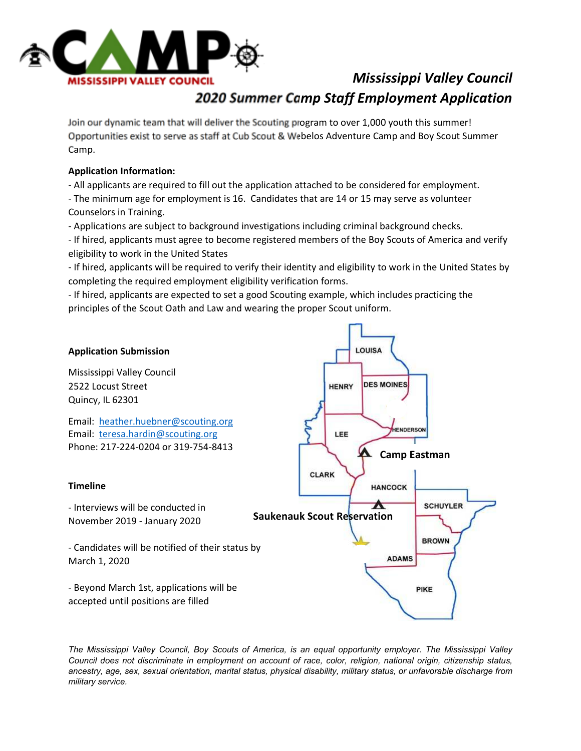

## *Mississippi Valley Council 2020 Summer Camp Staff Employment Application*

Join our dynamic team that will deliver the Scouting program to over 1,000 youth this summer! Opportunities exist to serve as staff at Cub Scout & Webelos Adventure Camp and Boy Scout Summer Camp.

### **Application Information:**

- All applicants are required to fill out the application attached to be considered for employment.

- The minimum age for employment is 16. Candidates that are 14 or 15 may serve as volunteer Counselors in Training.
- Applications are subject to background investigations including criminal background checks.

- If hired, applicants must agree to become registered members of the Boy Scouts of America and verify eligibility to work in the United States

- If hired, applicants will be required to verify their identity and eligibility to work in the United States by completing the required employment eligibility verification forms.

- If hired, applicants are expected to set a good Scouting example, which includes practicing the principles of the Scout Oath and Law and wearing the proper Scout uniform.



*The Mississippi Valley Council, Boy Scouts of America, is an equal opportunity employer. The Mississippi Valley Council does not discriminate in employment on account of race, color, religion, national origin, citizenship status, ancestry, age, sex, sexual orientation, marital status, physical disability, military status, or unfavorable discharge from military service.*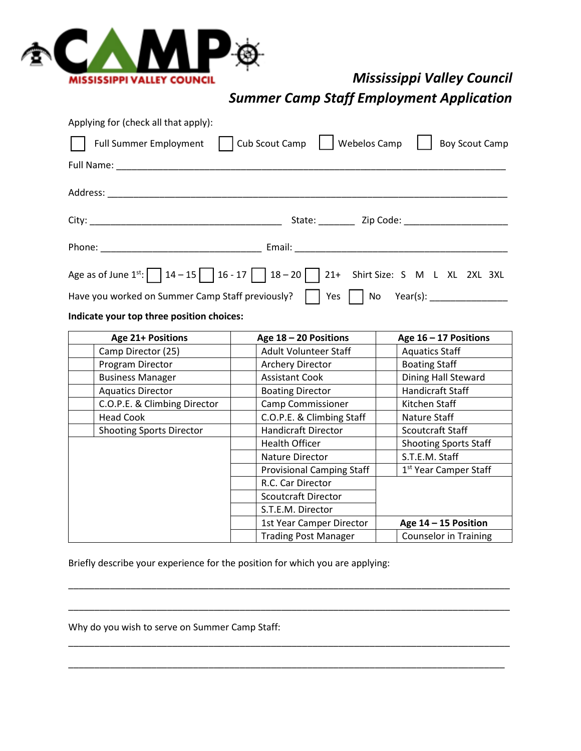

# *Mississippi Valley Council*

*Summer Camp Staff Employment Application* 

| Applying for (check all that apply): |                                                                                                                                                                                                                                |
|--------------------------------------|--------------------------------------------------------------------------------------------------------------------------------------------------------------------------------------------------------------------------------|
|                                      | Full Summer Employment     Cub Scout Camp     Webelos Camp    <br><b>Boy Scout Camp</b>                                                                                                                                        |
|                                      |                                                                                                                                                                                                                                |
|                                      |                                                                                                                                                                                                                                |
|                                      |                                                                                                                                                                                                                                |
|                                      | Phone: Email: Email: Email: Email: Email: Email: Email: Email: Email: Email: Email: Email: Email: Email: Email: Email: Email: Email: Email: Email: Email: Email: Email: Email: Email: Email: Email: Email: Email: Email: Email |
|                                      | Age as of June $1^{st}$ : $\boxed{14-15}$ $16-17$ $18-20$ $21+$ Shirt Size: S M L XL 2XL 3XL                                                                                                                                   |
|                                      | Have you worked on Summer Camp Staff previously?     Yes     No Year(s): _____________                                                                                                                                         |
|                                      |                                                                                                                                                                                                                                |

### **Indicate your top three position choices:**

| <b>Age 21+ Positions</b>        | Age 18 - 20 Positions            | Age $16 - 17$ Positions           |  |
|---------------------------------|----------------------------------|-----------------------------------|--|
| Camp Director (25)              | <b>Adult Volunteer Staff</b>     | <b>Aquatics Staff</b>             |  |
| Program Director                | <b>Archery Director</b>          | <b>Boating Staff</b>              |  |
| <b>Business Manager</b>         | <b>Assistant Cook</b>            | Dining Hall Steward               |  |
| <b>Aquatics Director</b>        | <b>Boating Director</b>          | <b>Handicraft Staff</b>           |  |
| C.O.P.E. & Climbing Director    | <b>Camp Commissioner</b>         | Kitchen Staff                     |  |
| <b>Head Cook</b>                | C.O.P.E. & Climbing Staff        | Nature Staff                      |  |
| <b>Shooting Sports Director</b> | <b>Handicraft Director</b>       | Scoutcraft Staff                  |  |
|                                 | <b>Health Officer</b>            | <b>Shooting Sports Staff</b>      |  |
|                                 | <b>Nature Director</b>           | S.T.E.M. Staff                    |  |
|                                 | <b>Provisional Camping Staff</b> | 1 <sup>st</sup> Year Camper Staff |  |
|                                 | R.C. Car Director                |                                   |  |
|                                 | <b>Scoutcraft Director</b>       |                                   |  |
|                                 | S.T.E.M. Director                |                                   |  |
|                                 | 1st Year Camper Director         | Age $14 - 15$ Position            |  |
|                                 | <b>Trading Post Manager</b>      | <b>Counselor in Training</b>      |  |

\_\_\_\_\_\_\_\_\_\_\_\_\_\_\_\_\_\_\_\_\_\_\_\_\_\_\_\_\_\_\_\_\_\_\_\_\_\_\_\_\_\_\_\_\_\_\_\_\_\_\_\_\_\_\_\_\_\_\_\_\_\_\_\_\_\_\_\_\_\_\_\_\_\_\_\_\_\_\_\_\_\_\_\_\_

\_\_\_\_\_\_\_\_\_\_\_\_\_\_\_\_\_\_\_\_\_\_\_\_\_\_\_\_\_\_\_\_\_\_\_\_\_\_\_\_\_\_\_\_\_\_\_\_\_\_\_\_\_\_\_\_\_\_\_\_\_\_\_\_\_\_\_\_\_\_\_\_\_\_\_\_\_\_\_\_\_\_\_\_\_

\_\_\_\_\_\_\_\_\_\_\_\_\_\_\_\_\_\_\_\_\_\_\_\_\_\_\_\_\_\_\_\_\_\_\_\_\_\_\_\_\_\_\_\_\_\_\_\_\_\_\_\_\_\_\_\_\_\_\_\_\_\_\_\_\_\_\_\_\_\_\_\_\_\_\_\_\_\_\_\_\_\_\_\_\_

\_\_\_\_\_\_\_\_\_\_\_\_\_\_\_\_\_\_\_\_\_\_\_\_\_\_\_\_\_\_\_\_\_\_\_\_\_\_\_\_\_\_\_\_\_\_\_\_\_\_\_\_\_\_\_\_\_\_\_\_\_\_\_\_\_\_\_\_\_\_\_\_\_\_\_\_\_\_\_\_\_\_\_\_

Briefly describe your experience for the position for which you are applying:

Why do you wish to serve on Summer Camp Staff: